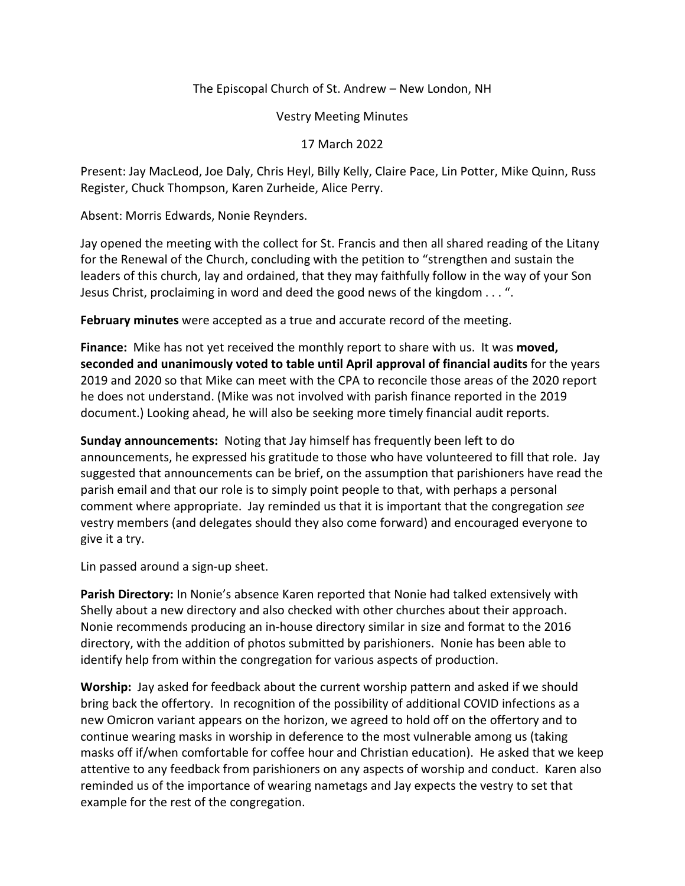## The Episcopal Church of St. Andrew – New London, NH

Vestry Meeting Minutes

17 March 2022

Present: Jay MacLeod, Joe Daly, Chris Heyl, Billy Kelly, Claire Pace, Lin Potter, Mike Quinn, Russ Register, Chuck Thompson, Karen Zurheide, Alice Perry.

Absent: Morris Edwards, Nonie Reynders.

Jay opened the meeting with the collect for St. Francis and then all shared reading of the Litany for the Renewal of the Church, concluding with the petition to "strengthen and sustain the leaders of this church, lay and ordained, that they may faithfully follow in the way of your Son Jesus Christ, proclaiming in word and deed the good news of the kingdom . . . ".

**February minutes** were accepted as a true and accurate record of the meeting.

**Finance:** Mike has not yet received the monthly report to share with us. It was **moved, seconded and unanimously voted to table until April approval of financial audits** for the years 2019 and 2020 so that Mike can meet with the CPA to reconcile those areas of the 2020 report he does not understand. (Mike was not involved with parish finance reported in the 2019 document.) Looking ahead, he will also be seeking more timely financial audit reports.

**Sunday announcements:** Noting that Jay himself has frequently been left to do announcements, he expressed his gratitude to those who have volunteered to fill that role. Jay suggested that announcements can be brief, on the assumption that parishioners have read the parish email and that our role is to simply point people to that, with perhaps a personal comment where appropriate. Jay reminded us that it is important that the congregation *see* vestry members (and delegates should they also come forward) and encouraged everyone to give it a try.

Lin passed around a sign-up sheet.

**Parish Directory:** In Nonie's absence Karen reported that Nonie had talked extensively with Shelly about a new directory and also checked with other churches about their approach. Nonie recommends producing an in-house directory similar in size and format to the 2016 directory, with the addition of photos submitted by parishioners. Nonie has been able to identify help from within the congregation for various aspects of production.

**Worship:** Jay asked for feedback about the current worship pattern and asked if we should bring back the offertory. In recognition of the possibility of additional COVID infections as a new Omicron variant appears on the horizon, we agreed to hold off on the offertory and to continue wearing masks in worship in deference to the most vulnerable among us (taking masks off if/when comfortable for coffee hour and Christian education). He asked that we keep attentive to any feedback from parishioners on any aspects of worship and conduct. Karen also reminded us of the importance of wearing nametags and Jay expects the vestry to set that example for the rest of the congregation.